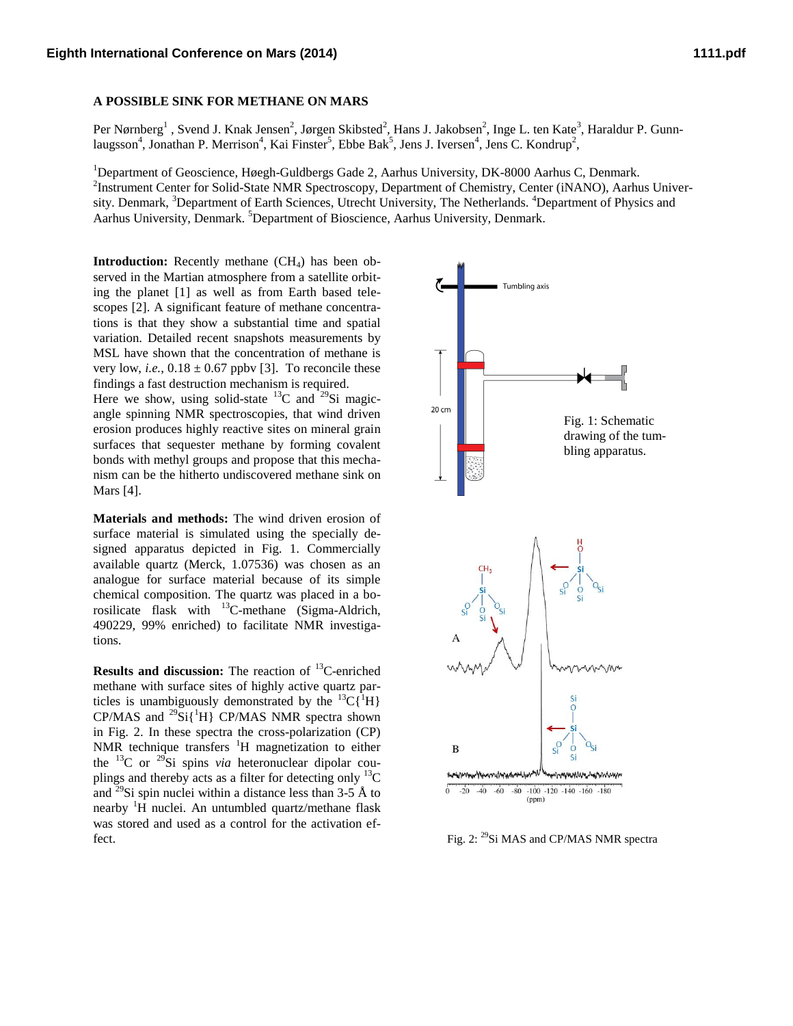## **A POSSIBLE SINK FOR METHANE ON MARS**

Per Nørnberg<sup>1</sup> , Svend J. Knak Jensen<sup>2</sup>, Jørgen Skibsted<sup>2</sup>, Hans J. Jakobsen<sup>2</sup>, Inge L. ten Kate<sup>3</sup>, Haraldur P. Gunnlaugsson<sup>4</sup>, Jonathan P. Merrison<sup>4</sup>, Kai Finster<sup>5</sup>, Ebbe Bak<sup>5</sup>, Jens J. Iversen<sup>4</sup>, Jens C. Kondrup<sup>2</sup>,

<sup>1</sup>Department of Geoscience, Høegh-Guldbergs Gade 2, Aarhus University, DK-8000 Aarhus C, Denmark. <sup>2</sup>Instrument Center for Solid-State NMR Spectroscopy, Department of Chemistry, Center (iNANO), Aarhus University. Denmark, <sup>3</sup>Department of Earth Sciences, Utrecht University, The Netherlands. <sup>4</sup>Department of Physics and Aarhus University, Denmark. <sup>5</sup>Department of Bioscience, Aarhus University, Denmark.

**Introduction:** Recently methane (CH<sub>4</sub>) has been observed in the Martian atmosphere from a satellite orbiting the planet [1] as well as from Earth based telescopes [2]. A significant feature of methane concentrations is that they show a substantial time and spatial variation. Detailed recent snapshots measurements by MSL have shown that the concentration of methane is very low, *i.e.*,  $0.18 \pm 0.67$  ppbv [3]. To reconcile these findings a fast destruction mechanism is required.

Here we show, using solid-state  $^{13}$ C and  $^{29}$ Si magicangle spinning NMR spectroscopies, that wind driven erosion produces highly reactive sites on mineral grain surfaces that sequester methane by forming covalent bonds with methyl groups and propose that this mechanism can be the hitherto undiscovered methane sink on Mars [4].

**Materials and methods:** The wind driven erosion of surface material is simulated using the specially designed apparatus depicted in Fig. 1. Commercially available quartz (Merck, 1.07536) was chosen as an analogue for surface material because of its simple chemical composition. The quartz was placed in a borosilicate flask with <sup>13</sup>C-methane (Sigma-Aldrich, 490229, 99% enriched) to facilitate NMR investigations.

**Results and discussion:** The reaction of <sup>13</sup>C-enriched methane with surface sites of highly active quartz particles is unambiguously demonstrated by the  ${}^{13}C[{^1}H]$ CP/MAS and  $^{29}$ Si{<sup>1</sup>H} CP/MAS NMR spectra shown in Fig. 2. In these spectra the cross-polarization (CP) NMR technique transfers <sup>1</sup>H magnetization to either the  $^{13}$ C or  $^{29}$ Si spins *via* heteronuclear dipolar couplings and thereby acts as a filter for detecting only <sup>13</sup>C and <sup>29</sup>Si spin nuclei within a distance less than 3-5 Å to nearby  ${}^{1}H$  nuclei. An untumbled quartz/methane flask was stored and used as a control for the activation effect.



Fig. 2: <sup>29</sup>Si MAS and CP/MAS NMR spectra